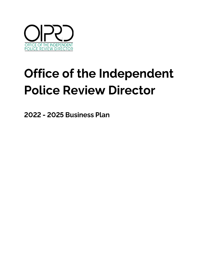

# Office of the Independent **Police Review Director**

2022 - 2025 Business Plan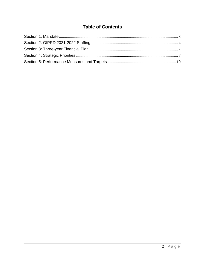# **Table of Contents**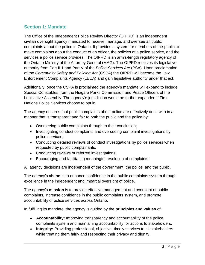# <span id="page-2-0"></span>**Section 1: Mandate**

The Office of the Independent Police Review Director (OIPRD) is an independent civilian oversight agency mandated to receive, manage, and oversee all public complaints about the police in Ontario. It provides a system for members of the public to make complaints about the conduct of an officer, the policies of a police service, and the services a police service provides. The OIPRD is an arm's-length regulatory agency of the Ontario Ministry of the Attorney General (MAG). The OIPRD receives its legislative authority from Part II.1 and Part V of the *Police Services Act* (PSA). Upon proclamation of the *Community Safety and Policing Act* (CSPA) the OIPRD will become the Law Enforcement Complaints Agency (LECA) and gain legislative authority under that act.

Additionally, once the CSPA is proclaimed the agency's mandate will expand to include Special Constables from the Niagara Parks Commission and Peace Officers of the Legislative Assembly. The agency's jurisdiction would be further expanded if First Nations Police Services choose to opt in.

The agency ensures that public complaints about police are effectively dealt with in a manner that is transparent and fair to both the public and the police by:

- Overseeing public complaints through to their conclusion;
- Investigating conduct complaints and overseeing complaint investigations by police services;
- Conducting detailed reviews of conduct investigations by police services when requested by public complainants;
- Conducting reviews of referred investigations;
- Encouraging and facilitating meaningful resolution of complaints;

All agency decisions are independent of the government, the police, and the public.

The agency's **vision** is to enhance confidence in the public complaints system through excellence in the independent and impartial oversight of police.

The agency's **mission** is to provide effective management and oversight of public complaints, increase confidence in the public complaints system, and promote accountability of police services across Ontario.

In fulfilling its mandate, the agency is guided by the **principles and values** of:

- **Accountability:** Improving transparency and accountability of the police complaints system and maintaining accountability for actions to stakeholders.
- **Integrity:** Providing professional, objective, timely services to all stakeholders while treating them fairly and respecting their privacy and dignity.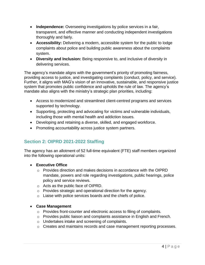- **Independence:** Overseeing investigations by police services in a fair, transparent, and effective manner and conducting independent investigations thoroughly and fairly.
- **Accessibility:** Delivering a modern, accessible system for the public to lodge complaints about police and building public awareness about the complaints system.
- **Diversity and Inclusion:** Being responsive to, and inclusive of diversity in delivering services.

The agency's mandate aligns with the government's priority of promoting fairness, providing access to justice, and investigating complaints (conduct, policy, and service). Further, it aligns with MAG's vision of an innovative, sustainable, and responsive justice system that promotes public confidence and upholds the rule of law. The agency's mandate also aligns with the ministry's strategic plan priorities, including:

- Access to modernized and streamlined client-centred programs and services supported by technology.
- Supporting, protecting and advocating for victims and vulnerable individuals, including those with mental health and addiction issues.
- Developing and retaining a diverse, skilled, and engaged workforce.
- Promoting accountability across justice system partners.

# <span id="page-3-0"></span>**Section 2: OIPRD 2021-2022 Staffing**

The agency has an allotment of 52 full-time equivalent (FTE) staff members organized into the following operational units:

- **Executive Office**
	- $\circ$  Provides direction and makes decisions in accordance with the OIPRD mandate, powers and role regarding investigations, public hearings, police policy and service reviews.
	- o Acts as the public face of OIPRD.
	- o Provides strategic and operational direction for the agency.
	- o Liaise with police services boards and the chiefs of police.

#### • **Case Management**

- o Provides front-counter and electronic access to filing of complaints.
- $\circ$  Provides public liaison and complaints assistance in English and French.
- o Undertakes intake and screening of complaints.
- o Creates and maintains records and case management reporting processes.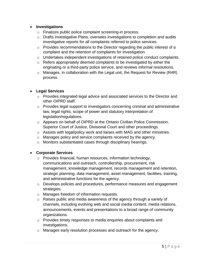#### • **Investigations**

- o Finalizes public police complaint screening-in process.
- o Drafts Investigative Plans, oversees investigations to completion and audits investigative reports for all complaints referred to police services.
- o Provides recommendations to the Director regarding the public interest of a complaint and the retention of complaints for investigation.
- o Undertakes independent investigations of retained police conduct complaints.
- o Refers appropriately deemed complaints to be investigated by either the originating or a third-party police service, and reviews informal resolutions.
- o Manages, in collaboration with the Legal unit, the Request for Review (R4R) process.

#### • **Legal Services**

- o Provides integrated legal advice and associated services to the Director and other OIPRD staff.
- o Provides legal support to investigators concerning criminal and administrative law, legal rights, scope of power and statutory interpretation of legislation/regulations.
- o Appears on behalf of OIPRD at the Ontario Civilian Police Commission, Superior Court of Justice, Divisional Court and other proceedings.
- o Assists with legal/policy work and liaises with MAG and other ministries.
- o Manages policy and service complaints received by the agency.
- o Monitors substantiated cases through disciplinary hearings.

#### • **Corporate Services**

- o Provides financial, human resources, information technology, communications and outreach, controllership, procurement, risk management, knowledge management, records management and retention, strategic planning, data management, asset management, facilities, training, and administrative functions for the agency.
- o Develops policies and procedures, performance measures and engagement strategies.
- o Manages freedom of information requests.
- o Raises public and media awareness of the agency through a variety of channels, including evolving web and social media content, media relations, announcements, events and presentations to a broad range of community organizations.
- o Provides timely responses to media enquiries about complaints and investigations.
- o Manages early resolution processes and outreach for the agency.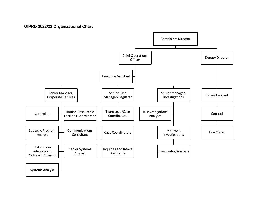#### **OIPRD 2022/23 Organizational Chart**

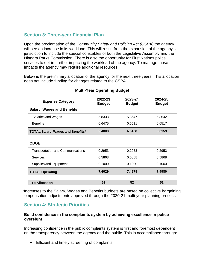# <span id="page-6-0"></span>**Section 3: Three-year Financial Plan**

Upon the proclamation of the *Community Safety and Policing Act (CSPA*) the agency will see an increase in its workload. This will result from the expansion of the agency's jurisdiction to include the special constables of both the Legislative Assembly and the Niagara Parks Commission. There is also the opportunity for First Nations police services to opt-in, further impacting the workload of the agency. To manage these impacts the agency may require additional resources.

Below is the preliminary allocation of the agency for the next three years. This allocation does not include funding for changes related to the CSPA.

| <b>Expense Category</b>                  | 2022-23<br><b>Budget</b> | 2023-24<br><b>Budget</b> | 2024-25<br><b>Budget</b> |
|------------------------------------------|--------------------------|--------------------------|--------------------------|
| <b>Salary, Wages and Benefits</b>        |                          |                          |                          |
| Salaries and Wages                       | 5.8333                   | 5.8647                   | 5.8642                   |
| <b>Benefits</b>                          | 0.6475                   | 0.6511                   | 0.6517                   |
| <b>TOTAL Salary, Wages and Benefits*</b> | 6.4808                   | 6.5158                   | 6.5159                   |
| <b>ODOE</b>                              |                          |                          |                          |
| <b>Transportation and Communications</b> | 0.2953                   | 0.2953                   | 0.2953                   |
| <b>Services</b>                          | 0.5868                   | 0.5868                   | 0.5868                   |
| <b>Supplies and Equipment</b>            | 0.1000                   | 0.1000                   | 0.1000                   |
| <b>TOTAL Operating</b>                   | 7.4629                   | 7.4979                   | 7.4980                   |
| <b>FTE Allocation</b>                    | 52                       | 52                       | 52                       |

#### **Multi-Year Operating Budget**

\*Increases to the Salary, Wages and Benefits budgets are based on collective bargaining compensation adjustments approved through the 2020-21 multi-year planning process.

# <span id="page-6-1"></span>**Section 4: Strategic Priorities**

#### **Build confidence in the complaints system by achieving excellence in police oversight**

Increasing confidence in the public complaints system is first and foremost dependent on the transparency between the agency and the public. This is accomplished through:

• Efficient and timely screening of complaints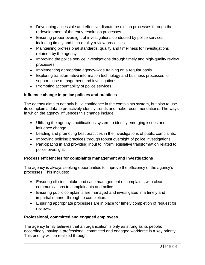- Developing accessible and effective dispute resolution processes through the redevelopment of the early resolution processes.
- Ensuring proper oversight of investigations conducted by police services, including timely and high-quality review processes.
- Maintaining professional standards, quality and timeliness for investigations retained by the agency.
- Improving the police service investigations through timely and high-quality review processes.
- Implementing appropriate agency-wide training on a regular basis.
- Exploring transformative information technology and business processes to support case management and investigations.
- Promoting accountability of police services.

## **Influence change in police policies and practices**

The agency aims to not only build confidence in the complaints system, but also to use its complaints data to proactively identify trends and make recommendations. The ways in which the agency influences this change include:

- Utilizing the agency's notifications system to identify emerging issues and influence change.
- Leading and promoting best practices in the investigations of public complaints.
- Improving policing practices through robust oversight of police investigations.
- Participating in and providing input to inform legislative transformation related to police oversight.

## **Process efficiencies for complaints management and investigations**

The agency is always seeking opportunities to improve the efficiency of the agency's processes. This includes:

- Ensuring efficient intake and case management of complaints with clear communications to complainants and police.
- Ensuring public complaints are managed and investigated in a timely and impartial manner through to completion.
- Ensuring appropriate processes are in place for timely completion of request for reviews.

## **Professional, committed and engaged employees**

The agency firmly believes that an organization is only as strong as its people; accordingly, having a professional, committed and engaged workforce is a key priority. This priority will be realized through: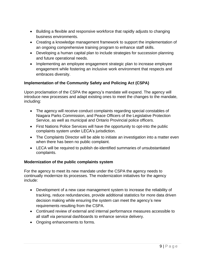- Building a flexible and responsive workforce that rapidly adjusts to changing business environments.
- Creating a knowledge management framework to support the implementation of an ongoing comprehensive training program to enhance staff skills.
- Developing a human capital plan to include strategies for succession planning and future operational needs.
- Implementing an employee engagement strategic plan to increase employee engagement while fostering an inclusive work environment that respects and embraces diversity.

## **Implementation of the Community Safety and Policing Act (CSPA)**

Upon proclamation of the CSPA the agency's mandate will expand. The agency will introduce new processes and adapt existing ones to meet the changes to the mandate, including:

- The agency will receive conduct complaints regarding special constables of Niagara Parks Commission, and Peace Officers of the Legislative Protection Service, as well as municipal and Ontario Provincial police officers.
- First Nations Police Services will have the opportunity to opt-into the public complaints system under LECA's jurisdiction.
- The Complaints Director will be able to initiate an investigation into a matter even when there has been no public complaint.
- LECA will be required to publish de-identified summaries of unsubstantiated complaints.

#### **Modernization of the public complaints system**

For the agency to meet its new mandate under the CSPA the agency needs to continually modernize its processes. The modernization initiatives for the agency include:

- Development of a new case management system to increase the reliability of tracking, reduce redundancies, provide additional statistics for more data driven decision making while ensuring the system can meet the agency's new requirements resulting from the CSPA.
- Continued review of external and internal performance measures accessible to all staff via personal dashboards to enhance service delivery.
- Ongoing enhancements to forms.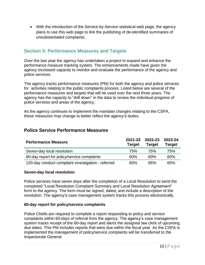• With the introduction of the Service-by-Service statistical web page, the agency plans to use this web page to link the publishing of de-identified summaries of unsubstantiated complaints.

# <span id="page-9-0"></span>**Section 5: Performance Measures and Targets**

Over the last year the agency has undertaken a project to expand and enhance the performance measure tracking system. The enhancements made have given the agency increased capacity to monitor and evaluate the performance of the agency and police services.

The agency tracks performance measures (PM) for both the agency and police services for activities relating to the public complaints process. Listed below are several of the performance measures and targets that will be used over the next three years. The agency has the capacity to "drill down" in the data to review the individual progress of police services and areas of the agency.

As the agency continues to implement the mandate changes relating to the CSPA, these measures may change to better reflect the agency's duties.

## **Police Service Performance Measures**

| <b>Performance Measure</b>                         | 2021-22<br><b>Target</b> | 2022-23<br><b>Target</b> | 2023-24<br><b>Target</b> |
|----------------------------------------------------|--------------------------|--------------------------|--------------------------|
| Seven-day local resolution                         | 75%                      | 75%                      | 75%                      |
| 60-day report for policy/service complaints        | 60%                      | 60%                      | 60%                      |
| 120-day conduct complaint investigation - referred | 65%                      | 65%                      | 65%                      |

#### **Seven-day local resolution**

Police services have seven days after the completion of a Local Resolution to send the completed "Local Resolution Complaint Summary and Local Resolution Agreement" form to the agency. The form must be signed, dated, and include a description of the resolution. The agency's case management system tracks this process electronically.

#### **60-day report for policy/service complaints**

Police Chiefs are required to complete a report responding to policy and service complaints within 60-days of referral from the agency. The agency's case management system tracks receipt of the 60-day report and alerts the assigned law clerk of upcoming due dates. This PM includes reports that were due within the fiscal year. As the CSPA is implemented the management of policy/service complaints will be transferred to the Inspectorate General.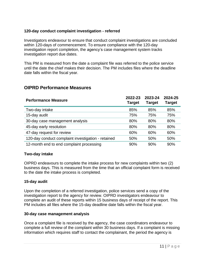#### **120-day conduct complaint investigation - referred**

Investigators endeavour to ensure that conduct complaint investigations are concluded within 120-days of commencement. To ensure compliance with the 120-day investigation report completion, the agency's case management system tracks investigation report due dates.

This PM is measured from the date a complaint file was referred to the police service until the date the chief makes their decision. The PM includes files where the deadline date falls within the fiscal year.

## **OIPRD Performance Measures**

| <b>Performance Measure</b>                         | 2022-23<br><b>Target</b> | 2023-24<br><b>Target</b> | 2024-25<br><b>Target</b> |
|----------------------------------------------------|--------------------------|--------------------------|--------------------------|
| Two-day intake                                     | 85%                      | 85%                      | 85%                      |
| 15-day audit                                       | 75%                      | 75%                      | 75%                      |
| 30-day case management analysis                    | 80%                      | 80%                      | 80%                      |
| 45-day early resolution                            | 80%                      | 80%                      | 80%                      |
| 47-day request for review                          | 60%                      | 60%                      | 60%                      |
| 120-day conduct complaint investigation - retained | 50%                      | 50%                      | 50%                      |
| 12-month end to end complaint processing           | 90%                      | 90%                      | 90%                      |

#### **Two-day intake**

OIPRD endeavours to complete the intake process for new complaints within two (2) business days. This is measured from the time that an official complaint form is received to the date the intake process is completed.

#### **15-day audit**

Upon the completion of a referred investigation, police services send a copy of the investigation report to the agency for review. OIPRD investigators endeavour to complete an audit of these reports within 15 business days of receipt of the report. This PM includes all files where the 15-day deadline date falls within the fiscal year.

#### **30-day case management analysis**

Once a complaint file is received by the agency, the case coordinators endeavour to complete a full review of the complaint within 30 business days. If a complaint is missing information which requires staff to contact the complainant, the period the agency is